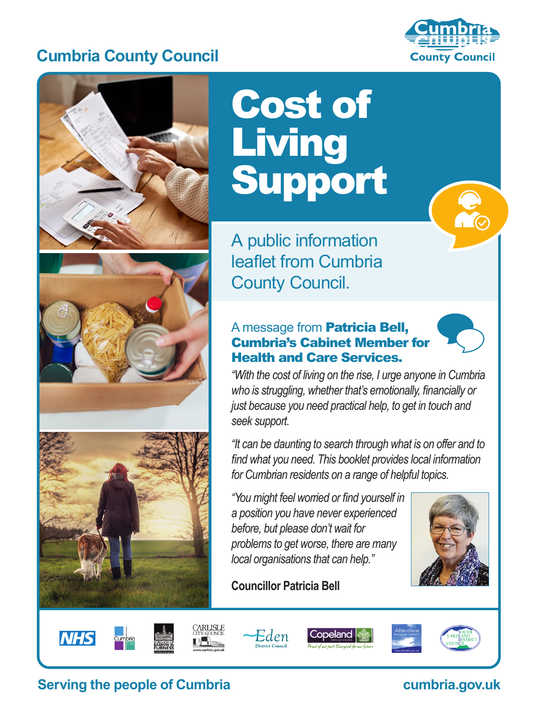# **Cumbria County Council**





# Cost of **Living** Support

A public information leaflet from Cumbria County Council.

#### A message from Patricia Bell, Cumbria's Cabinet Member for Health and Care Services.



 $\frac{1}{\sqrt{2}}$ 

*"With the cost of living on the rise, I urge anyone in Cumbria who is struggling, whether that's emotionally, financially or just because you need practical help, to get in touch and seek support.* 

*"It can be daunting to search through what is on offer and to find what you need. This booklet provides local information for Cumbrian residents on a range of helpful topics.*

*"You might feel worried or find yourself in a position you have never experienced before, but please don't wait for problems to get worse, there are many local organisations that can help."*

















# **Serving the people of Cumbria cumbria.gov.uk**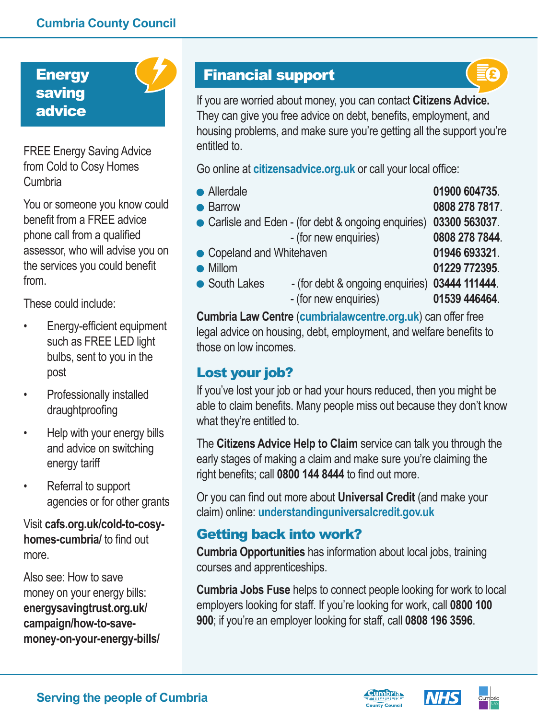**Energy** saving advice



FREE Energy Saving Advice from Cold to Cosy Homes Cumbria

You or someone you know could benefit from a FREE advice phone call from a qualified assessor, who will advise you on the services you could benefit from.

These could include:

- Energy-efficient equipment such as FREE LED light bulbs, sent to you in the post
- Professionally installed draughtproofing
- Help with your energy bills and advice on switching energy tariff
- Referral to support agencies or for other grants

Visit **cafs.org.uk/cold-to-cosyhomes-cumbria/** to find out more.

Also see: How to save money on your energy bills: **energysavingtrust.org.uk/ campaign/how-to-savemoney-on-your-energy-bills/**

# Financial support



If you are worried about money, you can contact **Citizens Advice.** They can give you free advice on debt, benefits, employment, and housing problems, and make sure you're getting all the support you're entitled to.

Go online at **citizensadvice.org.uk** or call your local office:

- Allerdale **01900 604735**.
- Barrow **0808 278 7817**.
- Carlisle and Eden (for debt & ongoing enquiries) **03300 563037**.
	- (for new enquiries) **0808 278 7844**.
- Copeland and Whitehaven **01946 693321**.
- 
- 
- Millom **01229 772395**. ● South Lakes - (for debt & ongoing enquiries) 03444 111444. - (for new enquiries) **01539 446464**.

**Cumbria Law Centre** (**cumbrialawcentre.org.uk**) can offer free legal advice on housing, debt, employment, and welfare benefits to those on low incomes.

# Lost your job?

If you've lost your job or had your hours reduced, then you might be able to claim benefits. Many people miss out because they don't know what they're entitled to.

The **Citizens Advice Help to Claim** service can talk you through the early stages of making a claim and make sure you're claiming the right benefits; call **0800 144 8444** to find out more.

Or you can find out more about **Universal Credit** (and make your claim) online: **understandinguniversalcredit.gov.uk** 

# Getting back into work?

**Cumbria Opportunities** has information about local jobs, training courses and apprenticeships.

**Cumbria Jobs Fuse** helps to connect people looking for work to local employers looking for staff. If you're looking for work, call **0800 100 900**; if you're an employer looking for staff, call **0808 196 3596**.





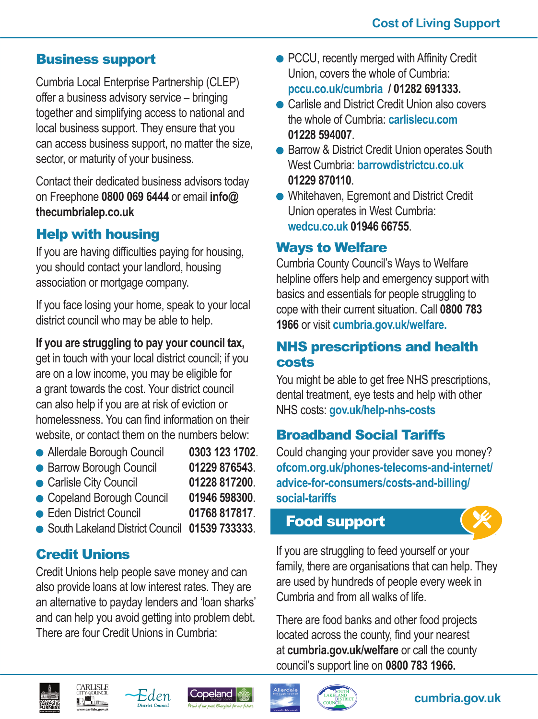#### Business support

Cumbria Local Enterprise Partnership (CLEP) offer a business advisory service – bringing together and simplifying access to national and local business support. They ensure that you can access business support, no matter the size, sector, or maturity of your business.

Contact their dedicated business advisors today on Freephone **0800 069 6444** or email **info@ thecumbrialep.co.uk**

# Help with housing

If you are having difficulties paying for housing, you should contact your landlord, housing association or mortgage company.

If you face losing your home, speak to your local district council who may be able to help.

#### **If you are struggling to pay your council tax,**

get in touch with your local district council; if you are on a low income, you may be eligible for a grant towards the cost. Your district council can also help if you are at risk of eviction or homelessness. You can find information on their website, or contact them on the numbers below:

- Allerdale Borough Council **0303 123 1702**.
- Barrow Borough Council **01229 876543**.
- Carlisle City Council **01228 817200**.
- Copeland Borough Council **01946 598300**.
- Eden District Council **01768 817817**.
- South Lakeland District Council **01539 733333**.

### Credit Unions

Credit Unions help people save money and can also provide loans at low interest rates. They are an alternative to payday lenders and 'loan sharks' and can help you avoid getting into problem debt. There are four Credit Unions in Cumbria:

- PCCU, recently merged with Affinity Credit Union, covers the whole of Cumbria: **pccu.co.uk/cumbria / 01282 691333.**
- Carlisle and District Credit Union also covers the whole of Cumbria: **carlislecu.com 01228 594007**.
- Barrow & District Credit Union operates South West Cumbria: **barrowdistrictcu.co.uk 01229 870110**.
- Whitehaven, Egremont and District Credit Union operates in West Cumbria: **wedcu.co.uk 01946 66755**.

#### Ways to Welfare

Cumbria County Council's Ways to Welfare helpline offers help and emergency support with basics and essentials for people struggling to cope with their current situation. Call **0800 783 1966** or visit **cumbria.gov.uk/welfare.**

#### NHS prescriptions and health costs

You might be able to get free NHS prescriptions, dental treatment, eye tests and help with other NHS costs: **gov.uk/help-nhs-costs** 

### Broadband Social Tariffs

Could changing your provider save you money? **ofcom.org.uk/phones-telecoms-and-internet/ advice-for-consumers/costs-and-billing/ social-tariffs**

# Food support



If you are struggling to feed yourself or your family, there are organisations that can help. They are used by hundreds of people every week in Cumbria and from all walks of life.

There are food banks and other food projects located across the county, find your nearest at **cumbria.gov.uk/welfare** or call the county council's support line on **0800 783 1966.**